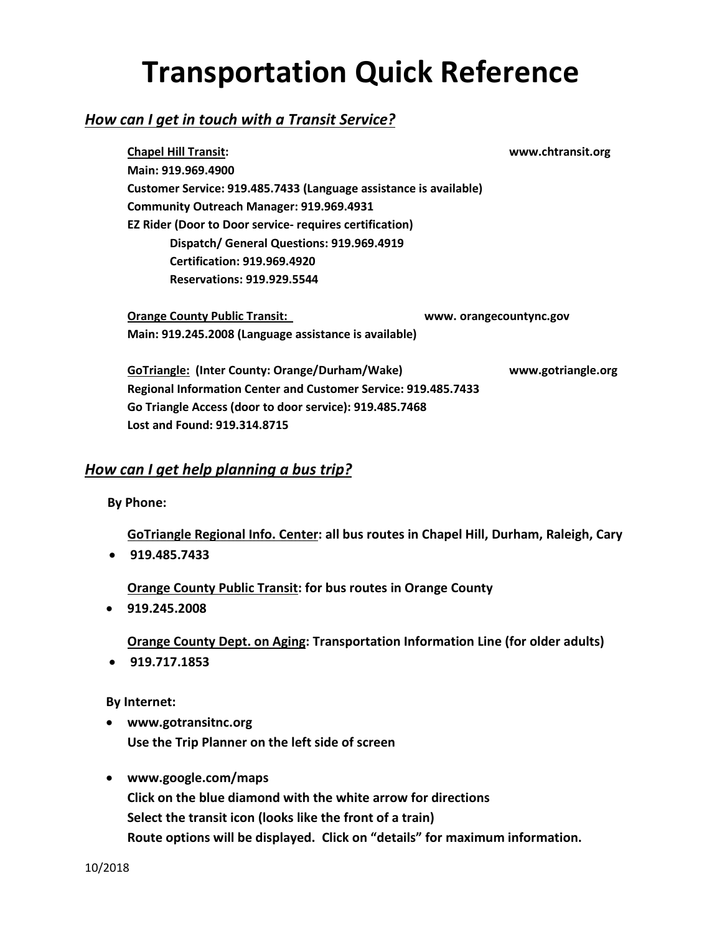# **Transportation Quick Reference**

## *How can I get in touch with a Transit Service?*

**Chapel Hill Transit: www.chtransit.org Main: 919.969.4900 Customer Service: 919.485.7433 (Language assistance is available) Community Outreach Manager: 919.969.4931 EZ Rider (Door to Door service- requires certification) Dispatch/ General Questions: 919.969.4919 Certification: 919.969.4920 Reservations: 919.929.5544**

**Orange County Public Transit: www. orangecountync.gov Main: 919.245.2008 (Language assistance is available)**

**GoTriangle: (Inter County: Orange/Durham/Wake) www.gotriangle.org Regional Information Center and Customer Service: 919.485.7433 Go Triangle Access (door to door service): 919.485.7468 Lost and Found: 919.314.8715**

## *How can I get help planning a bus trip?*

 **By Phone:**

**GoTriangle Regional Info. Center: all bus routes in Chapel Hill, Durham, Raleigh, Cary** • **919.485.7433** 

**Orange County Public Transit: for bus routes in Orange County**

• **919.245.2008**

**Orange County Dept. on Aging: Transportation Information Line (for older adults)**

• **919.717.1853**

**By Internet:**

- **www.gotransitnc.org Use the Trip Planner on the left side of screen**
- **www.google.com/maps Click on the blue diamond with the white arrow for directions Select the transit icon (looks like the front of a train) Route options will be displayed. Click on "details" for maximum information.**